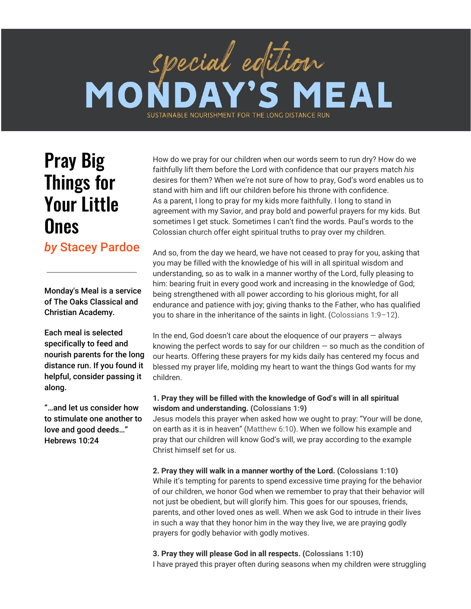# special edition **EAL** MO SUSTAINABLE NOURISHMENT FOR THE LONG DISTANCE RUN

# Pray Big Things for Your Little **Ones**

*by* Stacey Pardoe

Monday's Meal is a service of The Oaks Classical and Christian Academy.

Each meal is selected specifically to feed and nourish parents for the long distance run. If you found it helpful, consider passing it along.

"…and let us consider how to stimulate one another to love and good deeds…" Hebrews 10:24

How do we pray for our children when our words seem to run dry? How do we faithfully lift them before the Lord with confidence that our prayers match *his* desires for them? When we're not sure of how to pray, God's word enables us to stand with him and lift our children before his throne with confidence. As a parent, I long to pray for my kids more faithfully. I long to stand in agreement with my Savior, and pray bold and powerful prayers for my kids. But sometimes I get stuck. Sometimes I can't find the words. Paul's words to the Colossian church offer eight spiritual truths to pray over my children.

And so, from the day we heard, we have not ceased to pray for you, asking that you may be filled with the knowledge of his will in all spiritual wisdom and understanding, so as to walk in a manner worthy of the Lord, fully pleasing to him: bearing fruit in every good work and increasing in the knowledge of God; being strengthened with all power according to his glorious might, for all endurance and patience with joy; giving thanks to the Father, who has qualified you to share in the inheritance of the saints in light. [\(Colossians](https://biblia.com/bible/esv/Col%25201.9%25E2%2580%259312) 1:9–12).

In the end, God doesn't care about the eloquence of our prayers  $-$  always knowing the perfect words to say for our children  $-$  so much as the condition of our hearts. Offering these prayers for my kids daily has centered my focus and blessed my prayer life, molding my heart to want the things God wants for my children.

## **1. Pray they will be filled with the knowledge of God's will in all spiritual wisdom and understanding. [\(Colossians](https://biblia.com/bible/esv/Col%25201.9) 1:9)**

Jesus models this prayer when asked how we ought to pray: "Your will be done, on earth as it is in heaven" ([Matthew](https://biblia.com/bible/esv/Matt%25206.10) 6:10). When we follow his example and pray that our children will know God's will, we pray according to the example Christ himself set for us.

**2. Pray they will walk in a manner worthy of the Lord. ([Colossians](https://biblia.com/bible/esv/Col%25201.10) 1:10)** While it's tempting for parents to spend excessive time praying for the behavior of our children, we honor God when we remember to pray that their behavior will not just be obedient, but will glorify him. This goes for our spouses, friends, parents, and other loved ones as well. When we ask God to intrude in their lives in such a way that they honor him in the way they live, we are praying godly prayers for godly behavior with godly motives.

**3. Pray they will please God in all respects. ([Colossians](https://biblia.com/bible/esv/Col%25201.10) 1:10)** I have prayed this prayer often during seasons when my children were struggling